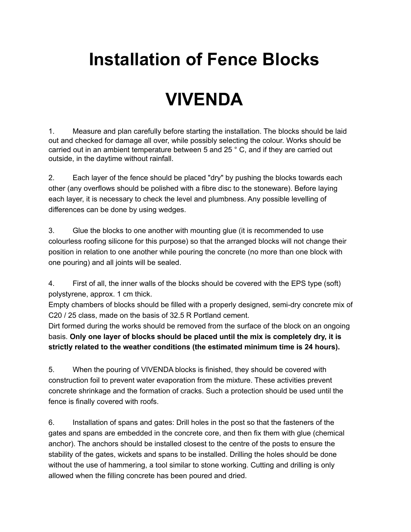## **Installation of Fence Blocks**

## **VIVENDA**

1. Measure and plan carefully before starting the installation. The blocks should be laid out and checked for damage all over, while possibly selecting the colour. Works should be carried out in an ambient temperature between 5 and 25 ° C, and if they are carried out outside, in the daytime without rainfall.

2. Each layer of the fence should be placed "dry" by pushing the blocks towards each other (any overflows should be polished with a fibre disc to the stoneware). Before laying each layer, it is necessary to check the level and plumbness. Any possible levelling of differences can be done by using wedges.

3. Glue the blocks to one another with mounting glue (it is recommended to use colourless roofing silicone for this purpose) so that the arranged blocks will not change their position in relation to one another while pouring the concrete (no more than one block with one pouring) and all joints will be sealed.

4. First of all, the inner walls of the blocks should be covered with the EPS type (soft) polystyrene, approx. 1 cm thick.

Empty chambers of blocks should be filled with a properly designed, semi-dry concrete mix of C20 / 25 class, made on the basis of 32.5 R Portland cement.

Dirt formed during the works should be removed from the surface of the block on an ongoing basis. **Only one layer of blocks should be placed until the mix is completely dry, it is strictly related to the weather conditions (the estimated minimum time is 24 hours).**

5. When the pouring of VIVENDA blocks is finished, they should be covered with construction foil to prevent water evaporation from the mixture. These activities prevent concrete shrinkage and the formation of cracks. Such a protection should be used until the fence is finally covered with roofs.

6. Installation of spans and gates: Drill holes in the post so that the fasteners of the gates and spans are embedded in the concrete core, and then fix them with glue (chemical anchor). The anchors should be installed closest to the centre of the posts to ensure the stability of the gates, wickets and spans to be installed. Drilling the holes should be done without the use of hammering, a tool similar to stone working. Cutting and drilling is only allowed when the filling concrete has been poured and dried.